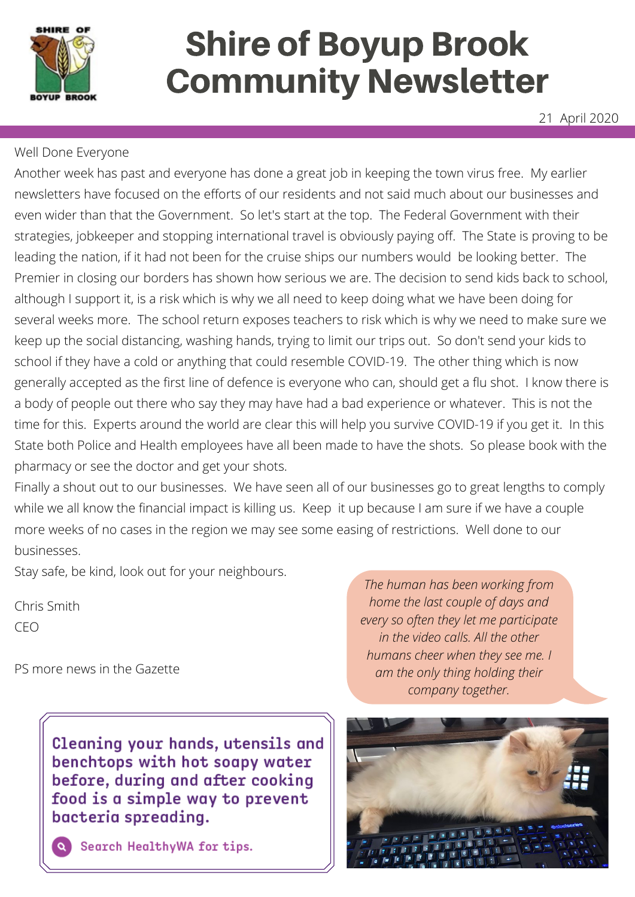

# Shire of Boyup Brook Community Newsletter

21 April 2020

#### Well Done Everyone

Another week has past and everyone has done a great job in keeping the town virus free. My earlier newsletters have focused on the efforts of our residents and not said much about our businesses and even wider than that the Government. So let's start at the top. The Federal Government with their strategies, jobkeeper and stopping international travel is obviously paying off. The State is proving to be leading the nation, if it had not been for the cruise ships our numbers would be looking better. The Premier in closing our borders has shown how serious we are. The decision to send kids back to school, although I support it, is a risk which is why we all need to keep doing what we have been doing for several weeks more. The school return exposes teachers to risk which is why we need to make sure we keep up the social distancing, washing hands, trying to limit our trips out. So don't send your kids to school if they have a cold or anything that could resemble COVID-19. The other thing which is now generally accepted as the first line of defence is everyone who can, should get a flu shot. I know there is a body of people out there who say they may have had a bad experience or whatever. This is not the time for this. Experts around the world are clear this will help you survive COVID-19 if you get it. In this State both Police and Health employees have all been made to have the shots. So please book with the pharmacy or see the doctor and get your shots.

Finally a shout out to our businesses. We have seen all of our businesses go to great lengths to comply while we all know the financial impact is killing us. Keep it up because I am sure if we have a couple more weeks of no cases in the region we may see some easing of restrictions. Well done to our businesses.

Stay safe, be kind, look out for your neighbours.

Chris Smith CEO

PS more news in the Gazette

Cleaning your hands, utensils and benchtops with hot soapy water before, during and after cooking food is a simple way to prevent bacteria spreading.

*The human has been working from home the last couple of days and every so often they let me participate in the video calls. All the other humans cheer when they see me. I am the only thing holding their company together.*



Search HealthyWA for tips.